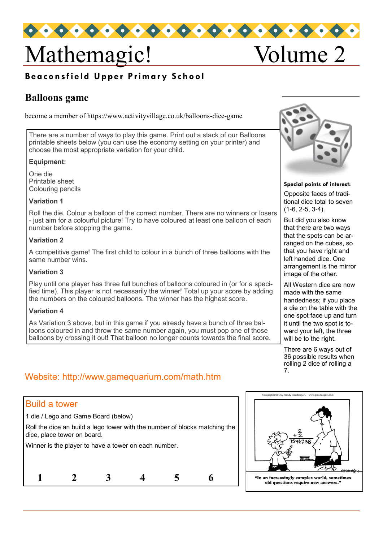

# Mathemagic! Volume 2

## **Beaconsfield Upper Primary School**

## **Balloons game**

become a member of https://www.activityvillage.co.uk/balloons-dice-game

There are a number of ways to play this game. Print out a stack of our Balloons printable sheets below (you can use the economy setting on your printer) and choose the most appropriate variation for your child.

#### **Equipment:**

One die Printable sheet Colouring pencils

#### **Variation 1**

Roll the die. Colour a balloon of the correct number. There are no winners or losers - just aim for a colourful picture! Try to have coloured at least one balloon of each number before stopping the game.

#### **Variation 2**

A competitive game! The first child to colour in a bunch of three balloons with the same number wins.

#### **Variation 3**

Play until one player has three full bunches of balloons coloured in (or for a specified time). This player is not necessarily the winner! Total up your score by adding the numbers on the coloured balloons. The winner has the highest score.

### **Variation 4**

As Variation 3 above, but in this game if you already have a bunch of three balloons coloured in and throw the same number again, you must pop one of those balloons by crossing it out! That balloon no longer counts towards the final score.



**Special points of interest:**

Opposite faces of traditional dice total to seven (1-6, 2-5, 3-4).

But did you also know that there are two ways that the spots can be arranged on the cubes, so that you have right and left handed dice. One arrangement is the mirror image of the other.

All Western dice are now made with the same handedness; if you place a die on the table with the one spot face up and turn it until the two spot is toward your left, the three will be to the right.

There are 6 ways out of 36 possible results when rolling 2 dice of rolling a 7.

## Website: http://www.gamequarium.com/math.htm

| <b>Build a tower</b>                                                                                      |  |  |  |  |  |
|-----------------------------------------------------------------------------------------------------------|--|--|--|--|--|
| 1 die / Lego and Game Board (below)                                                                       |  |  |  |  |  |
| Roll the dice an build a lego tower with the number of blocks matching the<br>dice, place tower on board. |  |  |  |  |  |
| Winner is the player to have a tower on each number.                                                      |  |  |  |  |  |
|                                                                                                           |  |  |  |  |  |
|                                                                                                           |  |  |  |  |  |
|                                                                                                           |  |  |  |  |  |